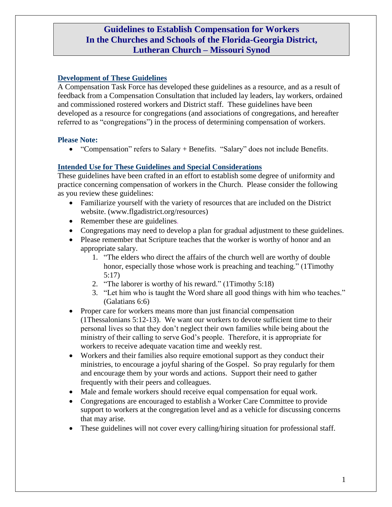# **Guidelines to Establish Compensation for Workers In the Churches and Schools of the Florida-Georgia District, Lutheran Church – Missouri Synod**

## **Development of These Guidelines**

A Compensation Task Force has developed these guidelines as a resource, and as a result of feedback from a Compensation Consultation that included lay leaders, lay workers, ordained and commissioned rostered workers and District staff. These guidelines have been developed as a resource for congregations (and associations of congregations, and hereafter referred to as "congregations") in the process of determining compensation of workers.

#### **Please Note:**

"Compensation" refers to Salary + Benefits. "Salary" does not include Benefits.

#### **Intended Use for These Guidelines and Special Considerations**

These guidelines have been crafted in an effort to establish some degree of uniformity and practice concerning compensation of workers in the Church. Please consider the following as you review these guidelines:

- Familiarize yourself with the variety of resources that are included on the District website. (www.flgadistrict.org/resources)
- Remember these are guidelines*.*
- Congregations may need to develop a plan for gradual adjustment to these guidelines.
- Please remember that Scripture teaches that the worker is worthy of honor and an appropriate salary.
	- 1. "The elders who direct the affairs of the church well are worthy of double honor, especially those whose work is preaching and teaching." (1Timothy 5:17)
	- 2. "The laborer is worthy of his reward." (1Timothy 5:18)
	- 3. "Let him who is taught the Word share all good things with him who teaches." (Galatians 6:6)
- Proper care for workers means more than just financial compensation (1Thessalonians 5:12-13). We want our workers to devote sufficient time to their personal lives so that they don't neglect their own families while being about the ministry of their calling to serve God's people. Therefore, it is appropriate for workers to receive adequate vacation time and weekly rest.
- Workers and their families also require emotional support as they conduct their ministries, to encourage a joyful sharing of the Gospel. So pray regularly for them and encourage them by your words and actions. Support their need to gather frequently with their peers and colleagues.
- Male and female workers should receive equal compensation for equal work.
- Congregations are encouraged to establish a Worker Care Committee to provide support to workers at the congregation level and as a vehicle for discussing concerns that may arise.
- These guidelines will not cover every calling/hiring situation for professional staff.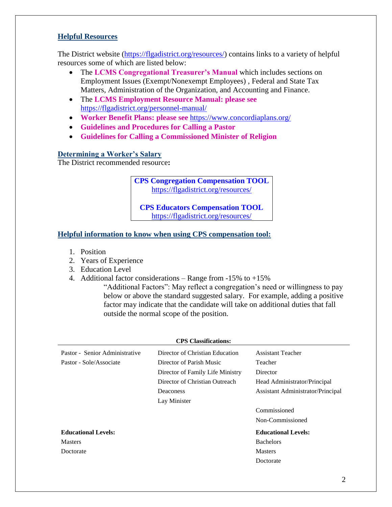## **Helpful Resources**

The District website [\(https://flgadistrict.org/resources/\)](https://flgadistrict.org/resources/) contains links to a variety of helpful resources some of which are listed below:

- The **LCMS Congregational Treasurer's Manual** which includes sections on Employment Issues (Exempt/Nonexempt Employees) , Federal and State Tax Matters, Administration of the Organization, and Accounting and Finance.
- The **LCMS Employment Resource Manual: please see**  <https://flgadistrict.org/personnel-manual/>
- **Worker Benefit Plans: please see** <https://www.concordiaplans.org/>
- **Guidelines and Procedures for Calling a Pastor**
- **Guidelines for Calling a Commissioned Minister of Religion**

## **Determining a Worker's Salary**

The District recommended resource**:**

**CPS Congregation Compensation TOOL** <https://flgadistrict.org/resources/>

**CPS Educators Compensation TOOL** <https://flgadistrict.org/resources/>

## **Helpful information to know when using CPS compensation tool:**

- 1. Position
- 2. Years of Experience
- 3. Education Level
- 4. Additional factor considerations Range from -15% to +15%

"Additional Factors": May reflect a congregation's need or willingness to pay below or above the standard suggested salary. For example, adding a positive factor may indicate that the candidate will take on additional duties that fall outside the normal scope of the position.

| <b>CPS</b> Classifications:    |                                  |                                   |
|--------------------------------|----------------------------------|-----------------------------------|
| Pastor - Senior Administrative | Director of Christian Education  | <b>Assistant Teacher</b>          |
| Pastor - Sole/Associate        | Director of Parish Music         | Teacher                           |
|                                | Director of Family Life Ministry | Director                          |
|                                | Director of Christian Outreach   | Head Administrator/Principal      |
|                                | <b>Deaconess</b>                 | Assistant Administrator/Principal |
|                                | Lay Minister                     |                                   |
|                                |                                  | Commissioned                      |
|                                |                                  | Non-Commissioned                  |
| <b>Educational Levels:</b>     |                                  | <b>Educational Levels:</b>        |
| <b>Masters</b>                 |                                  | <b>Bachelors</b>                  |
| Doctorate                      |                                  | <b>Masters</b>                    |
|                                |                                  | Doctorate                         |
|                                |                                  |                                   |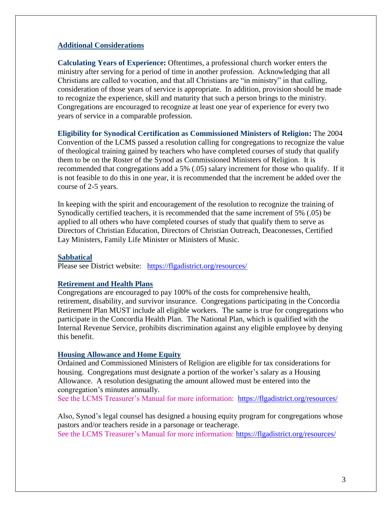#### **Additional Considerations**

**Calculating Years of Experience:** Oftentimes, a professional church worker enters the ministry after serving for a period of time in another profession. Acknowledging that all Christians are called to vocation, and that all Christians are "in ministry" in that calling, consideration of those years of service is appropriate. In addition, provision should be made to recognize the experience, skill and maturity that such a person brings to the ministry. Congregations are encouraged to recognize at least one year of experience for every two years of service in a comparable profession.

**Eligibility for Synodical Certification as Commissioned Ministers of Religion:** The 2004 Convention of the LCMS passed a resolution calling for congregations to recognize the value of theological training gained by teachers who have completed courses of study that qualify them to be on the Roster of the Synod as Commissioned Ministers of Religion. It is recommended that congregations add a 5% (.05) salary increment for those who qualify. If it is not feasible to do this in one year, it is recommended that the increment be added over the course of 2-5 years.

In keeping with the spirit and encouragement of the resolution to recognize the training of Synodically certified teachers, it is recommended that the same increment of 5% (.05) be applied to all others who have completed courses of study that qualify them to serve as Directors of Christian Education, Directors of Christian Outreach, Deaconesses, Certified Lay Ministers, Family Life Minister or Ministers of Music.

#### **Sabbatical**

Please see District website: <https://flgadistrict.org/resources/>

#### **Retirement and Health Plans**

Congregations are encouraged to pay 100% of the costs for comprehensive health, retirement, disability, and survivor insurance. Congregations participating in the Concordia Retirement Plan MUST include all eligible workers. The same is true for congregations who participate in the Concordia Health Plan. The National Plan, which is qualified with the Internal Revenue Service, prohibits discrimination against any eligible employee by denying this benefit.

#### **Housing Allowance and Home Equity**

Ordained and Commissioned Ministers of Religion are eligible for tax considerations for housing. Congregations must designate a portion of the worker's salary as a Housing Allowance. A resolution designating the amount allowed must be entered into the congregation's minutes annually.

See the LCMS Treasurer's Manual for more information: <https://flgadistrict.org/resources/>

Also, Synod's legal counsel has designed a housing equity program for congregations whose pastors and/or teachers reside in a parsonage or teacherage. See the LCMS Treasurer's Manual for more information:<https://flgadistrict.org/resources/>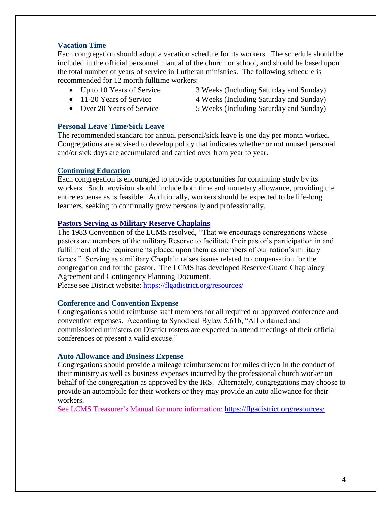## **Vacation Time**

Each congregation should adopt a vacation schedule for its workers. The schedule should be included in the official personnel manual of the church or school, and should be based upon the total number of years of service in Lutheran ministries. The following schedule is recommended for 12 month fulltime workers:

- 
- 
- 

## **Personal Leave Time/Sick Leave**

The recommended standard for annual personal/sick leave is one day per month worked.

Congregations are advised to develop policy that indicates whether or not unused personal and/or sick days are accumulated and carried over from year to year.

## **Continuing Education**

Each congregation is encouraged to provide opportunities for continuing study by its workers. Such provision should include both time and monetary allowance, providing the entire expense as is feasible. Additionally, workers should be expected to be life-long learners, seeking to continually grow personally and professionally.

## **Pastors Serving as Military Reserve Chaplains**

The 1983 Convention of the LCMS resolved, "That we encourage congregations whose pastors are members of the military Reserve to facilitate their pastor's participation in and fulfillment of the requirements placed upon them as members of our nation's military forces." Serving as a military Chaplain raises issues related to compensation for the congregation and for the pastor. The LCMS has developed Reserve/Guard Chaplaincy Agreement and Contingency Planning Document.

Please see District website:<https://flgadistrict.org/resources/>

# **Conference and Convention Expense**

Congregations should reimburse staff members for all required or approved conference and convention expenses. According to Synodical Bylaw 5.61b, "All ordained and commissioned ministers on District rosters are expected to attend meetings of their official conferences or present a valid excuse."

#### **Auto Allowance and Business Expense**

Congregations should provide a mileage reimbursement for miles driven in the conduct of their ministry as well as business expenses incurred by the professional church worker on behalf of the congregation as approved by the IRS. Alternately, congregations may choose to provide an automobile for their workers or they may provide an auto allowance for their workers.

See LCMS Treasurer's Manual for more information:<https://flgadistrict.org/resources/>

- Up to 10 Years of Service 3 Weeks (Including Saturday and Sunday)
- 11-20 Years of Service 4 Weeks (Including Saturday and Sunday)
- Over 20 Years of Service 5 Weeks (Including Saturday and Sunday)